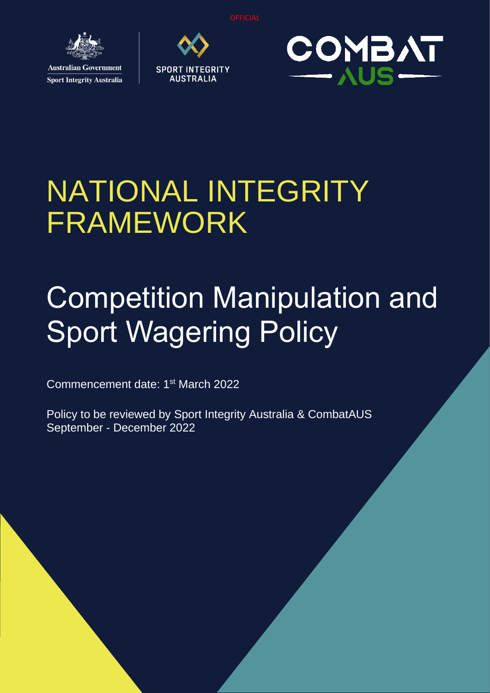**OFFICIA** 



**Sport Integrity Australia** 





# NATIONAL INTEGRITY FRAMEWORK

# Competition Manipulation and Sport Wagering Policy

Commencement date: 1<sup>st</sup> March 2022

Policy to be reviewed by Sport Integrity Australia & CombatAUS September - December 2022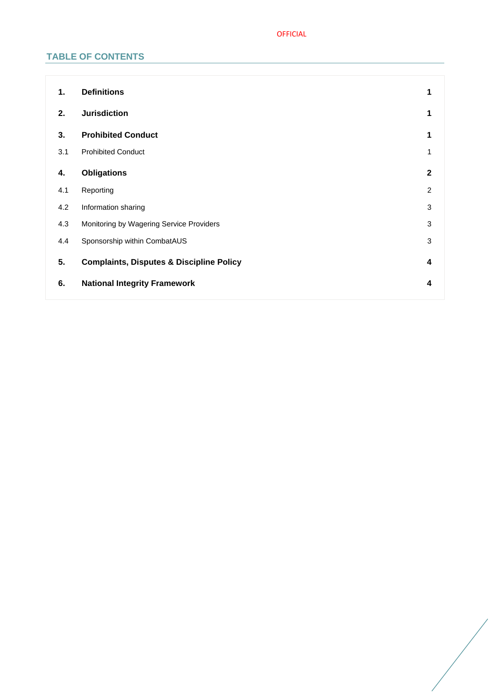# OFFICIAL

# **TABLE OF CONTENTS**

| 1.  | <b>Definitions</b>                                  | 1              |
|-----|-----------------------------------------------------|----------------|
| 2.  | <b>Jurisdiction</b>                                 | 1              |
| 3.  | <b>Prohibited Conduct</b>                           | 1              |
| 3.1 | <b>Prohibited Conduct</b>                           | 1              |
| 4.  | <b>Obligations</b>                                  | $\mathbf{2}$   |
| 4.1 | Reporting                                           | $\overline{2}$ |
| 4.2 | Information sharing                                 | 3              |
| 4.3 | Monitoring by Wagering Service Providers            | 3              |
| 4.4 | Sponsorship within CombatAUS                        | $\sqrt{3}$     |
| 5.  | <b>Complaints, Disputes &amp; Discipline Policy</b> | 4              |
| 6.  | <b>National Integrity Framework</b>                 | 4              |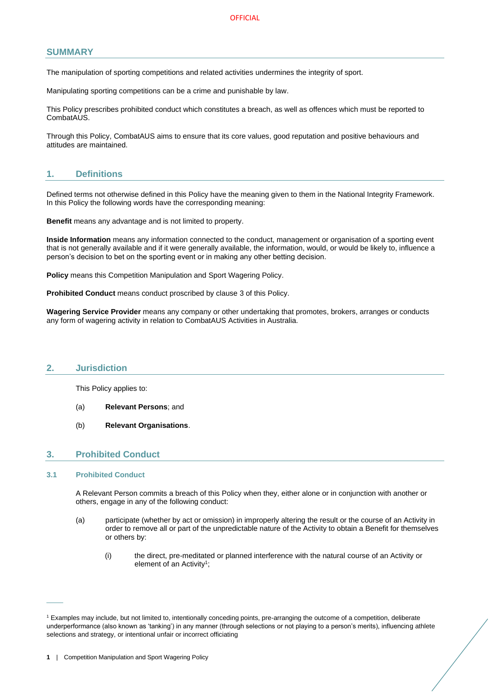# **SUMMARY**

The manipulation of sporting competitions and related activities undermines the integrity of sport.

Manipulating sporting competitions can be a crime and punishable by law.

This Policy prescribes prohibited conduct which constitutes a breach, as well as offences which must be reported to CombatAUS.

Through this Policy, CombatAUS aims to ensure that its core values, good reputation and positive behaviours and attitudes are maintained.

# <span id="page-2-0"></span>**1. Definitions**

Defined terms not otherwise defined in this Policy have the meaning given to them in the National Integrity Framework. In this Policy the following words have the corresponding meaning:

**Benefit** means any advantage and is not limited to property.

**Inside Information** means any information connected to the conduct, management or organisation of a sporting event that is not generally available and if it were generally available, the information, would, or would be likely to, influence a person's decision to bet on the sporting event or in making any other betting decision.

**Policy** means this Competition Manipulation and Sport Wagering Policy.

**Prohibited Conduct** means conduct proscribed by clause [3](#page-2-2) of this Policy.

**Wagering Service Provider** means any company or other undertaking that promotes, brokers, arranges or conducts any form of wagering activity in relation to CombatAUS Activities in Australia.

#### <span id="page-2-1"></span>**2. Jurisdiction**

This Policy applies to:

- (a) **Relevant Persons**; and
- (b) **Relevant Organisations**.

# <span id="page-2-2"></span>**3. Prohibited Conduct**

## <span id="page-2-3"></span>**3.1 Prohibited Conduct**

 $\overline{\phantom{a}}$ 

A Relevant Person commits a breach of this Policy when they, either alone or in conjunction with another or others, engage in any of the following conduct:

- (a) participate (whether by act or omission) in improperly altering the result or the course of an Activity in order to remove all or part of the unpredictable nature of the Activity to obtain a Benefit for themselves or others by:
	- (i) the direct, pre-meditated or planned interference with the natural course of an Activity or element of an Activity<sup>1</sup>;

<sup>1</sup> Examples may include, but not limited to, intentionally conceding points, pre-arranging the outcome of a competition, deliberate underperformance (also known as 'tanking') in any manner (through selections or not playing to a person's merits), influencing athlete selections and strategy, or intentional unfair or incorrect officiating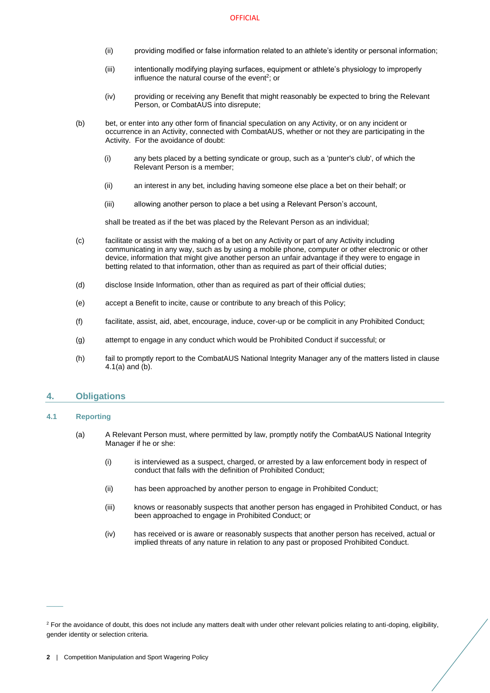- (ii) providing modified or false information related to an athlete's identity or personal information;
- (iii) intentionally modifying playing surfaces, equipment or athlete's physiology to improperly influence the natural course of the event<sup>2</sup>; or
- (iv) providing or receiving any Benefit that might reasonably be expected to bring the Relevant Person, or CombatAUS into disrepute;
- (b) bet, or enter into any other form of financial speculation on any Activity, or on any incident or occurrence in an Activity, connected with CombatAUS, whether or not they are participating in the Activity. For the avoidance of doubt:
	- (i) any bets placed by a betting syndicate or group, such as a 'punter's club', of which the Relevant Person is a member;
	- (ii) an interest in any bet, including having someone else place a bet on their behalf; or
	- (iii) allowing another person to place a bet using a Relevant Person's account,

shall be treated as if the bet was placed by the Relevant Person as an individual;

- (c) facilitate or assist with the making of a bet on any Activity or part of any Activity including communicating in any way, such as by using a mobile phone, computer or other electronic or other device, information that might give another person an unfair advantage if they were to engage in betting related to that information, other than as required as part of their official duties;
- (d) disclose Inside Information, other than as required as part of their official duties;
- (e) accept a Benefit to incite, cause or contribute to any breach of this Policy;
- (f) facilitate, assist, aid, abet, encourage, induce, cover-up or be complicit in any Prohibited Conduct;
- (g) attempt to engage in any conduct which would be Prohibited Conduct if successful; or
- (h) fail to promptly report to the CombatAUS National Integrity Manager any of the matters listed in clause [4.1](#page-3-1)[\(a\)](#page-3-2) an[d \(b\).](#page-4-3)

#### <span id="page-3-0"></span>**4. Obligations**

#### <span id="page-3-2"></span><span id="page-3-1"></span>**4.1 Reporting**

 $\overline{\phantom{a}}$ 

- (a) A Relevant Person must, where permitted by law, promptly notify the CombatAUS National Integrity Manager if he or she:
	- (i) is interviewed as a suspect, charged, or arrested by a law enforcement body in respect of conduct that falls with the definition of Prohibited Conduct;
	- (ii) has been approached by another person to engage in Prohibited Conduct;
	- (iii) knows or reasonably suspects that another person has engaged in Prohibited Conduct, or has been approached to engage in Prohibited Conduct; or
	- (iv) has received or is aware or reasonably suspects that another person has received, actual or implied threats of any nature in relation to any past or proposed Prohibited Conduct.

<sup>&</sup>lt;sup>2</sup> For the avoidance of doubt, this does not include any matters dealt with under other relevant policies relating to anti-doping, eligibility, gender identity or selection criteria.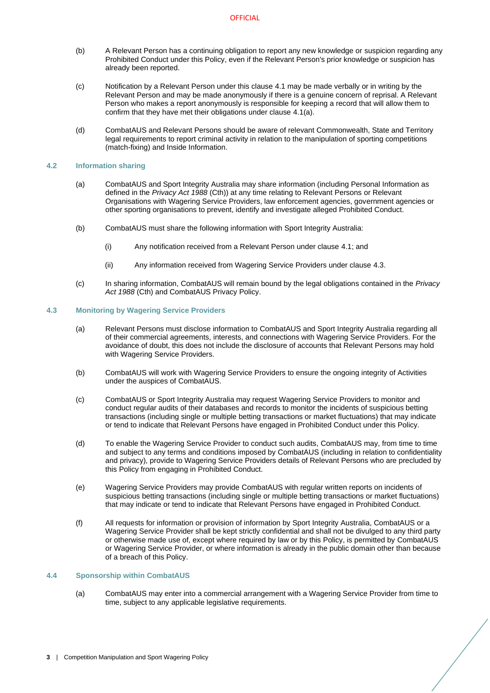- <span id="page-4-3"></span>(b) A Relevant Person has a continuing obligation to report any new knowledge or suspicion regarding any Prohibited Conduct under this Policy, even if the Relevant Person's prior knowledge or suspicion has already been reported.
- (c) Notification by a Relevant Person under this clause [4.1](#page-3-1) may be made verbally or in writing by the Relevant Person and may be made anonymously if there is a genuine concern of reprisal. A Relevant Person who makes a report anonymously is responsible for keeping a record that will allow them to confirm that they have met their obligations under clause [4.1](#page-3-1)[\(a\).](#page-3-2)
- (d) CombatAUS and Relevant Persons should be aware of relevant Commonwealth, State and Territory legal requirements to report criminal activity in relation to the manipulation of sporting competitions (match-fixing) and Inside Information.

#### <span id="page-4-0"></span>**4.2 Information sharing**

- (a) CombatAUS and Sport Integrity Australia may share information (including Personal Information as defined in the *Privacy Act 1988* (Cth)) at any time relating to Relevant Persons or Relevant Organisations with Wagering Service Providers, law enforcement agencies, government agencies or other sporting organisations to prevent, identify and investigate alleged Prohibited Conduct.
- (b) CombatAUS must share the following information with Sport Integrity Australia:
	- (i) Any notification received from a Relevant Person under claus[e 4.1;](#page-3-1) and
	- (ii) Any information received from Wagering Service Providers under claus[e 4.3.](#page-4-1)
- (c) In sharing information, CombatAUS will remain bound by the legal obligations contained in the *Privacy Act 1988* (Cth) and CombatAUS Privacy Policy.

#### <span id="page-4-1"></span>**4.3 Monitoring by Wagering Service Providers**

- (a) Relevant Persons must disclose information to CombatAUS and Sport Integrity Australia regarding all of their commercial agreements, interests, and connections with Wagering Service Providers. For the avoidance of doubt, this does not include the disclosure of accounts that Relevant Persons may hold with Wagering Service Providers.
- (b) CombatAUS will work with Wagering Service Providers to ensure the ongoing integrity of Activities under the auspices of CombatAUS.
- (c) CombatAUS or Sport Integrity Australia may request Wagering Service Providers to monitor and conduct regular audits of their databases and records to monitor the incidents of suspicious betting transactions (including single or multiple betting transactions or market fluctuations) that may indicate or tend to indicate that Relevant Persons have engaged in Prohibited Conduct under this Policy.
- (d) To enable the Wagering Service Provider to conduct such audits, CombatAUS may, from time to time and subject to any terms and conditions imposed by CombatAUS (including in relation to confidentiality and privacy), provide to Wagering Service Providers details of Relevant Persons who are precluded by this Policy from engaging in Prohibited Conduct.
- (e) Wagering Service Providers may provide CombatAUS with regular written reports on incidents of suspicious betting transactions (including single or multiple betting transactions or market fluctuations) that may indicate or tend to indicate that Relevant Persons have engaged in Prohibited Conduct.
- (f) All requests for information or provision of information by Sport Integrity Australia, CombatAUS or a Wagering Service Provider shall be kept strictly confidential and shall not be divulged to any third party or otherwise made use of, except where required by law or by this Policy, is permitted by CombatAUS or Wagering Service Provider, or where information is already in the public domain other than because of a breach of this Policy.

## <span id="page-4-2"></span>**4.4 Sponsorship within CombatAUS**

(a) CombatAUS may enter into a commercial arrangement with a Wagering Service Provider from time to time, subject to any applicable legislative requirements.